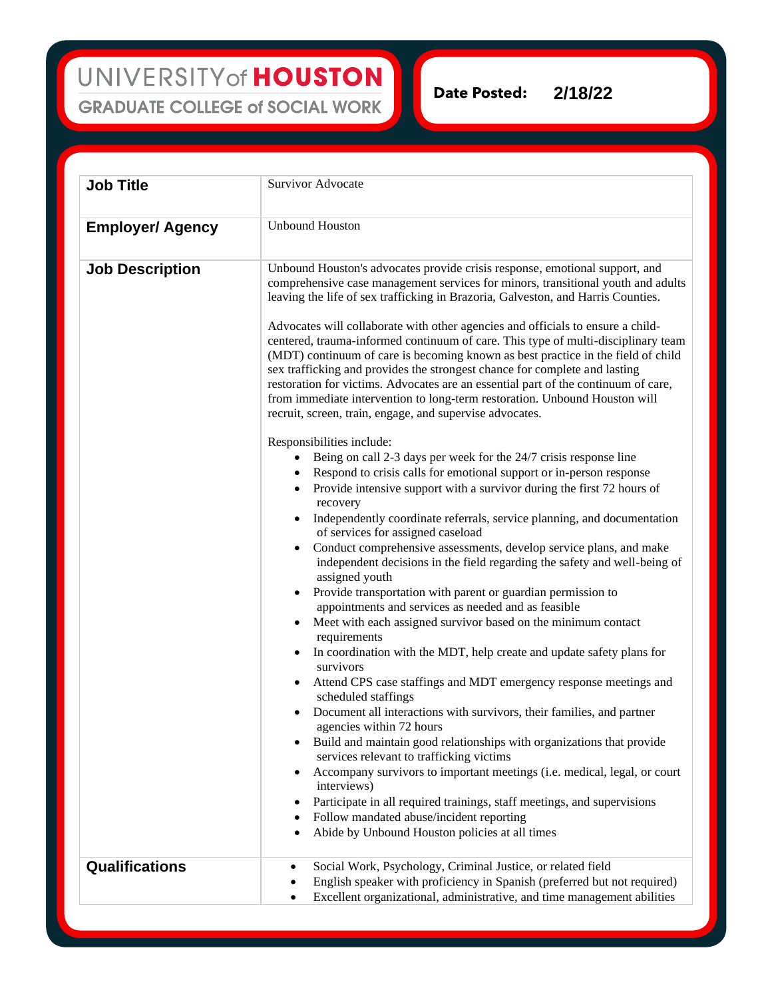## UNIVERSITY of HOUSTON **GRADUATE COLLEGE of SOCIAL WORK**

**Date Posted: 2/18/22**

**Job Title** Survivor Advocate **Employer/ Agency** Unbound Houston **Job Description** | Unbound Houston's advocates provide crisis response, emotional support, and comprehensive case management services for minors, transitional youth and adults leaving the life of sex trafficking in Brazoria, Galveston, and Harris Counties. Advocates will collaborate with other agencies and officials to ensure a childcentered, trauma-informed continuum of care. This type of multi-disciplinary team (MDT) continuum of care is becoming known as best practice in the field of child sex trafficking and provides the strongest chance for complete and lasting restoration for victims. Advocates are an essential part of the continuum of care, from immediate intervention to long-term restoration. Unbound Houston will recruit, screen, train, engage, and supervise advocates. Responsibilities include: Being on call 2-3 days per week for the 24/7 crisis response line • Respond to crisis calls for emotional support or in-person response • Provide intensive support with a survivor during the first 72 hours of recovery • Independently coordinate referrals, service planning, and documentation of services for assigned caseload • Conduct comprehensive assessments, develop service plans, and make independent decisions in the field regarding the safety and well-being of assigned youth • Provide transportation with parent or guardian permission to appointments and services as needed and as feasible Meet with each assigned survivor based on the minimum contact requirements • In coordination with the MDT, help create and update safety plans for survivors • Attend CPS case staffings and MDT emergency response meetings and scheduled staffings • Document all interactions with survivors, their families, and partner agencies within 72 hours • Build and maintain good relationships with organizations that provide services relevant to trafficking victims • Accompany survivors to important meetings (i.e. medical, legal, or court interviews) Participate in all required trainings, staff meetings, and supervisions • Follow mandated abuse/incident reporting • Abide by Unbound Houston policies at all times **Qualifications** • Social Work, Psychology, Criminal Justice, or related field • English speaker with proficiency in Spanish (preferred but not required) • Excellent organizational, administrative, and time management abilities